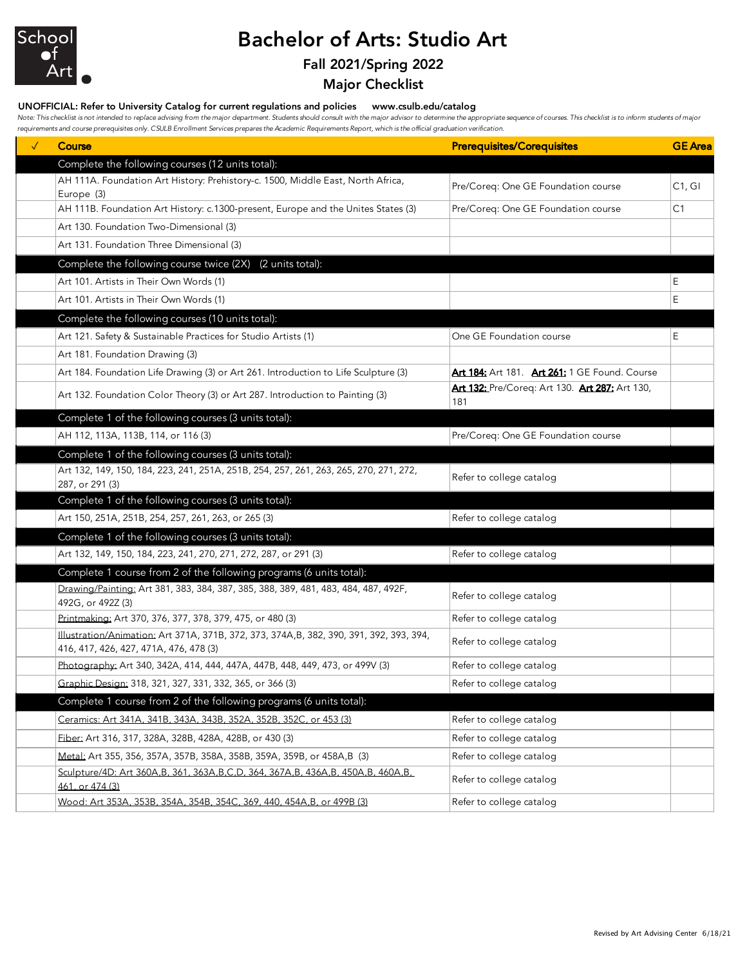

## Bachelor of Arts: Studio Art

## Fall 2021/Spring 2022

Major Checklist

## UNOFFICIAL: Refer to University Catalog for current regulations and policies www.csulb.edu/catalog

Note: This checklist is not intended to replace advising from the major department. Students should consult with the major advisor to determine the appropriate sequence of courses. This checklist is to inform students of m *requirements and course prerequisites only. CSULB Enrollment Services prepares the Academic Requirements Report, which is the official graduation verification.*

| <b>Course</b>                                                                                                                      | <b>Prerequisites/Corequisites</b>                     | <b>GE</b> Area |
|------------------------------------------------------------------------------------------------------------------------------------|-------------------------------------------------------|----------------|
| Complete the following courses (12 units total):                                                                                   |                                                       |                |
| AH 111A. Foundation Art History: Prehistory-c. 1500, Middle East, North Africa,<br>Europe (3)                                      | Pre/Coreq: One GE Foundation course                   | C1, G1         |
| AH 111B. Foundation Art History: c.1300-present, Europe and the Unites States (3)                                                  | Pre/Coreg: One GE Foundation course                   | C <sub>1</sub> |
| Art 130. Foundation Two-Dimensional (3)                                                                                            |                                                       |                |
| Art 131. Foundation Three Dimensional (3)                                                                                          |                                                       |                |
| Complete the following course twice (2X) (2 units total):                                                                          |                                                       |                |
| Art 101. Artists in Their Own Words (1)                                                                                            |                                                       | Ε              |
| Art 101. Artists in Their Own Words (1)                                                                                            |                                                       | E              |
| Complete the following courses (10 units total):                                                                                   |                                                       |                |
| Art 121. Safety & Sustainable Practices for Studio Artists (1)                                                                     | One GE Foundation course                              | Ε              |
| Art 181. Foundation Drawing (3)                                                                                                    |                                                       |                |
| Art 184. Foundation Life Drawing (3) or Art 261. Introduction to Life Sculpture (3)                                                | Art 184: Art 181. Art 261: 1 GE Found. Course         |                |
| Art 132. Foundation Color Theory (3) or Art 287. Introduction to Painting (3)                                                      | Art 132: Pre/Coreq: Art 130. Art 287: Art 130,<br>181 |                |
| Complete 1 of the following courses (3 units total):                                                                               |                                                       |                |
| AH 112, 113A, 113B, 114, or 116 (3)                                                                                                | Pre/Coreq: One GE Foundation course                   |                |
| Complete 1 of the following courses (3 units total):                                                                               |                                                       |                |
| Art 132, 149, 150, 184, 223, 241, 251A, 251B, 254, 257, 261, 263, 265, 270, 271, 272,<br>287, or 291 (3)                           | Refer to college catalog                              |                |
| Complete 1 of the following courses (3 units total):                                                                               |                                                       |                |
| Art 150, 251A, 251B, 254, 257, 261, 263, or 265 (3)                                                                                | Refer to college catalog                              |                |
| Complete 1 of the following courses (3 units total):                                                                               |                                                       |                |
| Art 132, 149, 150, 184, 223, 241, 270, 271, 272, 287, or 291 (3)                                                                   | Refer to college catalog                              |                |
| Complete 1 course from 2 of the following programs (6 units total):                                                                |                                                       |                |
| Drawing/Painting: Art 381, 383, 384, 387, 385, 388, 389, 481, 483, 484, 487, 492F,<br>492G, or 492Z (3)                            | Refer to college catalog                              |                |
| Printmaking: Art 370, 376, 377, 378, 379, 475, or 480 (3)                                                                          | Refer to college catalog                              |                |
| Illustration/Animation: Art 371A, 371B, 372, 373, 374A, B, 382, 390, 391, 392, 393, 394,<br>416, 417, 426, 427, 471A, 476, 478 (3) | Refer to college catalog                              |                |
| Photography: Art 340, 342A, 414, 444, 447A, 447B, 448, 449, 473, or 499V (3)                                                       | Refer to college catalog                              |                |
| <u>Graphic Design:</u> 318, 321, 327, 331, 332, 365, or 366 (3)                                                                    | Refer to college catalog                              |                |
| Complete 1 course from 2 of the following programs (6 units total):                                                                |                                                       |                |
| Ceramics: Art 341A, 341B, 343A, 343B, 352A, 352B, 352C. or 453 (3)                                                                 | Refer to college catalog                              |                |
| Fiber: Art 316, 317, 328A, 328B, 428A, 428B, or 430 (3)                                                                            | Refer to college catalog                              |                |
| Metal: Art 355, 356, 357A, 357B, 358A, 358B, 359A, 359B, or 458A, B (3)                                                            | Refer to college catalog                              |                |
| Sculpture/4D: Art 360A.B. 361. 363A.B.C.D. 364. 367A.B. 436A.B. 450A.B. 460A.B.<br>461, or 474 (3)                                 | Refer to college catalog                              |                |
| Wood: Art 353A, 353B, 354A, 354B, 354C, 369, 440, 454A,B, or 499B (3)                                                              | Refer to college catalog                              |                |